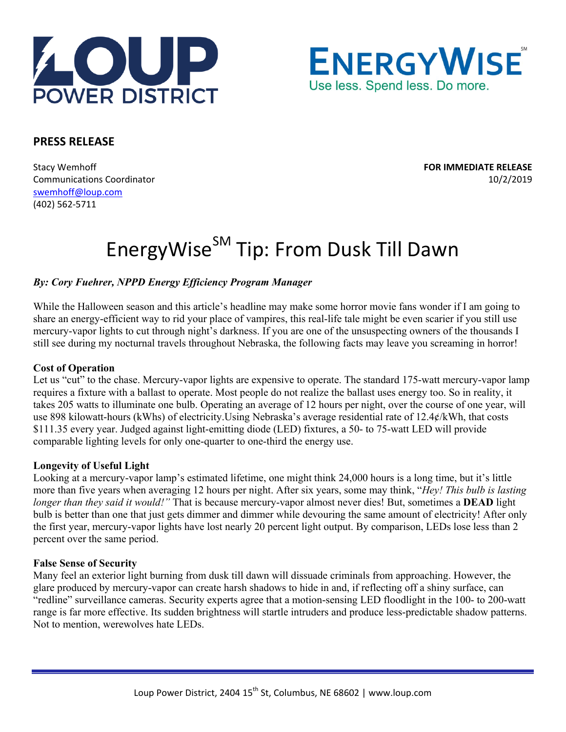



# **PRESS RELEASE**

Stacy Wemhoff **FOR IMMEDIATE RELEASE** Communications Coordinator 10/2/2019 swemhoff@loup.com (402) 562‐5711

# EnergyWise<sup>SM</sup> Tip: From Dusk Till Dawn

## *By: Cory Fuehrer, NPPD Energy Efficiency Program Manager*

While the Halloween season and this article's headline may make some horror movie fans wonder if I am going to share an energy-efficient way to rid your place of vampires, this real-life tale might be even scarier if you still use mercury-vapor lights to cut through night's darkness. If you are one of the unsuspecting owners of the thousands I still see during my nocturnal travels throughout Nebraska, the following facts may leave you screaming in horror!

#### **Cost of Operation**

Let us "cut" to the chase. Mercury-vapor lights are expensive to operate. The standard 175-watt mercury-vapor lamp requires a fixture with a ballast to operate. Most people do not realize the ballast uses energy too. So in reality, it takes 205 watts to illuminate one bulb. Operating an average of 12 hours per night, over the course of one year, will use 898 kilowatt-hours (kWhs) of electricity.Using Nebraska's average residential rate of 12.4¢/kWh, that costs \$111.35 every year. Judged against light-emitting diode (LED) fixtures, a 50- to 75-watt LED will provide comparable lighting levels for only one-quarter to one-third the energy use.

### **Longevity of Useful Light**

Looking at a mercury-vapor lamp's estimated lifetime, one might think 24,000 hours is a long time, but it's little more than five years when averaging 12 hours per night. After six years, some may think, "*Hey! This bulb is lasting longer than they said it would!"* That is because mercury-vapor almost never dies! But, sometimes a **DEAD** light bulb is better than one that just gets dimmer and dimmer while devouring the same amount of electricity! After only the first year, mercury-vapor lights have lost nearly 20 percent light output. By comparison, LEDs lose less than 2 percent over the same period.

#### **False Sense of Security**

Many feel an exterior light burning from dusk till dawn will dissuade criminals from approaching. However, the glare produced by mercury-vapor can create harsh shadows to hide in and, if reflecting off a shiny surface, can "redline" surveillance cameras. Security experts agree that a motion-sensing LED floodlight in the 100- to 200-watt range is far more effective. Its sudden brightness will startle intruders and produce less-predictable shadow patterns. Not to mention, werewolves hate LEDs.